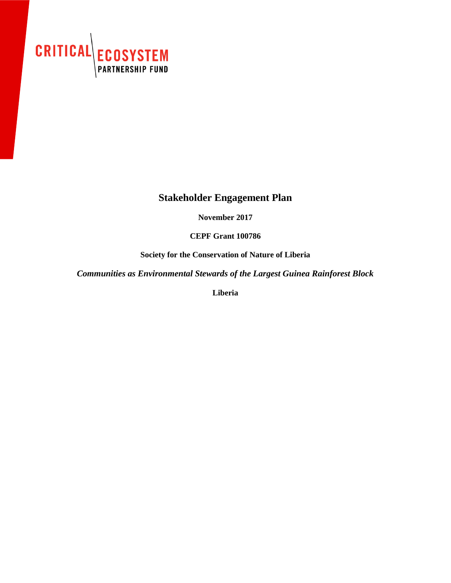

## **Stakeholder Engagement Plan**

**November 2017**

**CEPF Grant 100786**

**Society for the Conservation of Nature of Liberia**

*Communities as Environmental Stewards of the Largest Guinea Rainforest Block* 

**Liberia**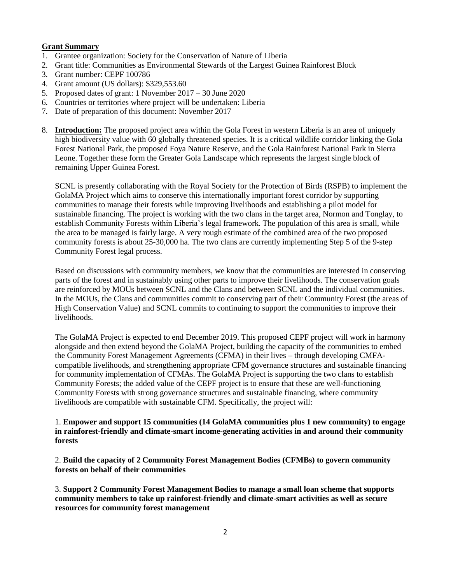## **Grant Summary**

- 1. Grantee organization: Society for the Conservation of Nature of Liberia
- 2. Grant title: Communities as Environmental Stewards of the Largest Guinea Rainforest Block
- 3. Grant number: CEPF 100786
- 4. Grant amount (US dollars): \$329,553.60
- 5. Proposed dates of grant: 1 November 2017 30 June 2020
- 6. Countries or territories where project will be undertaken: Liberia
- 7. Date of preparation of this document: November 2017
- 8. **Introduction:** The proposed project area within the Gola Forest in western Liberia is an area of uniquely high biodiversity value with 60 globally threatened species. It is a critical wildlife corridor linking the Gola Forest National Park, the proposed Foya Nature Reserve, and the Gola Rainforest National Park in Sierra Leone. Together these form the Greater Gola Landscape which represents the largest single block of remaining Upper Guinea Forest.

SCNL is presently collaborating with the Royal Society for the Protection of Birds (RSPB) to implement the GolaMA Project which aims to conserve this internationally important forest corridor by supporting communities to manage their forests while improving livelihoods and establishing a pilot model for sustainable financing. The project is working with the two clans in the target area, Normon and Tonglay, to establish Community Forests within Liberia's legal framework. The population of this area is small, while the area to be managed is fairly large. A very rough estimate of the combined area of the two proposed community forests is about 25-30,000 ha. The two clans are currently implementing Step 5 of the 9-step Community Forest legal process.

Based on discussions with community members, we know that the communities are interested in conserving parts of the forest and in sustainably using other parts to improve their livelihoods. The conservation goals are reinforced by MOUs between SCNL and the Clans and between SCNL and the individual communities. In the MOUs, the Clans and communities commit to conserving part of their Community Forest (the areas of High Conservation Value) and SCNL commits to continuing to support the communities to improve their livelihoods.

The GolaMA Project is expected to end December 2019. This proposed CEPF project will work in harmony alongside and then extend beyond the GolaMA Project, building the capacity of the communities to embed the Community Forest Management Agreements (CFMA) in their lives – through developing CMFAcompatible livelihoods, and strengthening appropriate CFM governance structures and sustainable financing for community implementation of CFMAs. The GolaMA Project is supporting the two clans to establish Community Forests; the added value of the CEPF project is to ensure that these are well-functioning Community Forests with strong governance structures and sustainable financing, where community livelihoods are compatible with sustainable CFM. Specifically, the project will:

## 1. **Empower and support 15 communities (14 GolaMA communities plus 1 new community) to engage in rainforest-friendly and climate-smart income-generating activities in and around their community forests**

2. **Build the capacity of 2 Community Forest Management Bodies (CFMBs) to govern community forests on behalf of their communities**

3. **Support 2 Community Forest Management Bodies to manage a small loan scheme that supports community members to take up rainforest-friendly and climate-smart activities as well as secure resources for community forest management**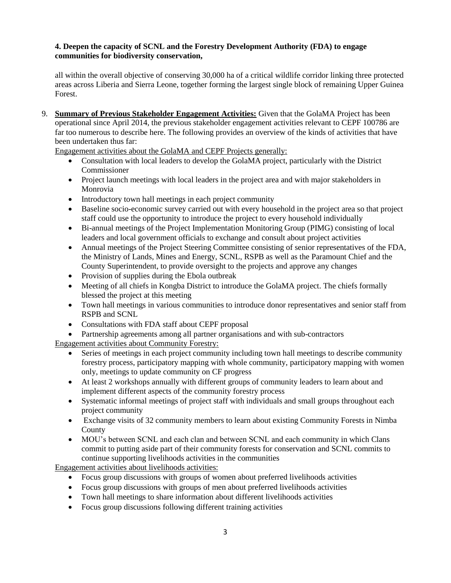## **4. Deepen the capacity of SCNL and the Forestry Development Authority (FDA) to engage communities for biodiversity conservation,**

all within the overall objective of conserving 30,000 ha of a critical wildlife corridor linking three protected areas across Liberia and Sierra Leone, together forming the largest single block of remaining Upper Guinea Forest.

9. **Summary of Previous Stakeholder Engagement Activities:** Given that the GolaMA Project has been operational since April 2014, the previous stakeholder engagement activities relevant to CEPF 100786 are far too numerous to describe here. The following provides an overview of the kinds of activities that have been undertaken thus far:

Engagement activities about the GolaMA and CEPF Projects generally:

- Consultation with local leaders to develop the GolaMA project, particularly with the District Commissioner
- Project launch meetings with local leaders in the project area and with major stakeholders in Monrovia
- Introductory town hall meetings in each project community
- Baseline socio-economic survey carried out with every household in the project area so that project staff could use the opportunity to introduce the project to every household individually
- Bi-annual meetings of the Project Implementation Monitoring Group (PIMG) consisting of local leaders and local government officials to exchange and consult about project activities
- Annual meetings of the Project Steering Committee consisting of senior representatives of the FDA, the Ministry of Lands, Mines and Energy, SCNL, RSPB as well as the Paramount Chief and the County Superintendent, to provide oversight to the projects and approve any changes
- Provision of supplies during the Ebola outbreak
- Meeting of all chiefs in Kongba District to introduce the GolaMA project. The chiefs formally blessed the project at this meeting
- Town hall meetings in various communities to introduce donor representatives and senior staff from RSPB and SCNL
- Consultations with FDA staff about CEPF proposal
- Partnership agreements among all partner organisations and with sub-contractors

Engagement activities about Community Forestry:

- Series of meetings in each project community including town hall meetings to describe community forestry process, participatory mapping with whole community, participatory mapping with women only, meetings to update community on CF progress
- At least 2 workshops annually with different groups of community leaders to learn about and implement different aspects of the community forestry process
- Systematic informal meetings of project staff with individuals and small groups throughout each project community
- Exchange visits of 32 community members to learn about existing Community Forests in Nimba County
- MOU's between SCNL and each clan and between SCNL and each community in which Clans commit to putting aside part of their community forests for conservation and SCNL commits to continue supporting livelihoods activities in the communities

Engagement activities about livelihoods activities:

- Focus group discussions with groups of women about preferred livelihoods activities
- Focus group discussions with groups of men about preferred livelihoods activities
- Town hall meetings to share information about different livelihoods activities
- Focus group discussions following different training activities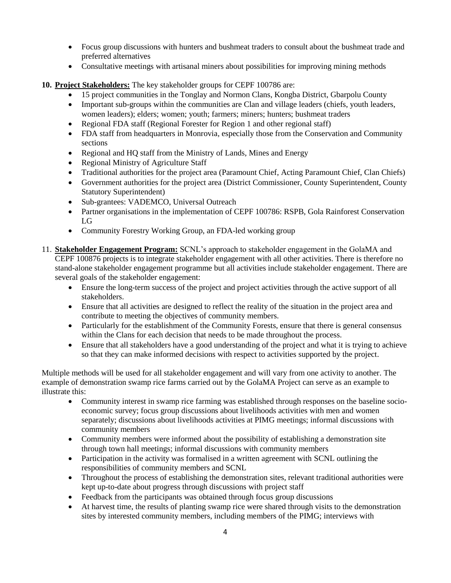- Focus group discussions with hunters and bushmeat traders to consult about the bushmeat trade and preferred alternatives
- Consultative meetings with artisanal miners about possibilities for improving mining methods
- **10. Project Stakeholders:** The key stakeholder groups for CEPF 100786 are:
	- 15 project communities in the Tonglay and Normon Clans, Kongba District, Gbarpolu County
	- Important sub-groups within the communities are Clan and village leaders (chiefs, youth leaders, women leaders); elders; women; youth; farmers; miners; hunters; bushmeat traders
	- Regional FDA staff (Regional Forester for Region 1 and other regional staff)
	- FDA staff from headquarters in Monrovia, especially those from the Conservation and Community sections
	- Regional and HQ staff from the Ministry of Lands, Mines and Energy
	- Regional Ministry of Agriculture Staff
	- Traditional authorities for the project area (Paramount Chief, Acting Paramount Chief, Clan Chiefs)
	- Government authorities for the project area (District Commissioner, County Superintendent, County Statutory Superintendent)
	- Sub-grantees: VADEMCO, Universal Outreach
	- Partner organisations in the implementation of CEPF 100786: RSPB, Gola Rainforest Conservation LG
	- Community Forestry Working Group, an FDA-led working group
- 11. **Stakeholder Engagement Program:** SCNL's approach to stakeholder engagement in the GolaMA and CEPF 100876 projects is to integrate stakeholder engagement with all other activities. There is therefore no stand-alone stakeholder engagement programme but all activities include stakeholder engagement. There are several goals of the stakeholder engagement:
	- Ensure the long-term success of the project and project activities through the active support of all stakeholders.
	- Ensure that all activities are designed to reflect the reality of the situation in the project area and contribute to meeting the objectives of community members.
	- Particularly for the establishment of the Community Forests, ensure that there is general consensus within the Clans for each decision that needs to be made throughout the process.
	- Ensure that all stakeholders have a good understanding of the project and what it is trying to achieve so that they can make informed decisions with respect to activities supported by the project.

Multiple methods will be used for all stakeholder engagement and will vary from one activity to another. The example of demonstration swamp rice farms carried out by the GolaMA Project can serve as an example to illustrate this:

- Community interest in swamp rice farming was established through responses on the baseline socioeconomic survey; focus group discussions about livelihoods activities with men and women separately; discussions about livelihoods activities at PIMG meetings; informal discussions with community members
- Community members were informed about the possibility of establishing a demonstration site through town hall meetings; informal discussions with community members
- Participation in the activity was formalised in a written agreement with SCNL outlining the responsibilities of community members and SCNL
- Throughout the process of establishing the demonstration sites, relevant traditional authorities were kept up-to-date about progress through discussions with project staff
- Feedback from the participants was obtained through focus group discussions
- At harvest time, the results of planting swamp rice were shared through visits to the demonstration sites by interested community members, including members of the PIMG; interviews with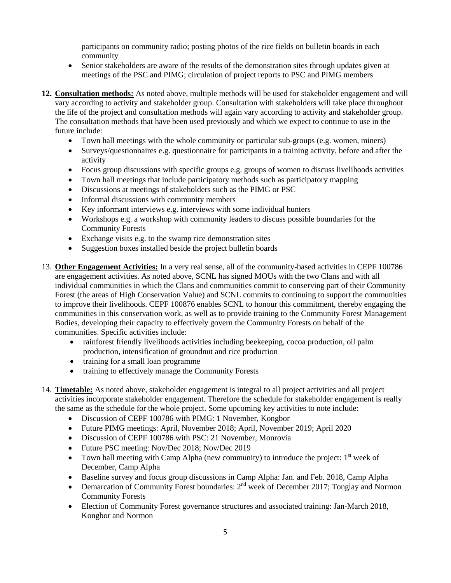participants on community radio; posting photos of the rice fields on bulletin boards in each community

- Senior stakeholders are aware of the results of the demonstration sites through updates given at meetings of the PSC and PIMG; circulation of project reports to PSC and PIMG members
- **12. Consultation methods:** As noted above, multiple methods will be used for stakeholder engagement and will vary according to activity and stakeholder group. Consultation with stakeholders will take place throughout the life of the project and consultation methods will again vary according to activity and stakeholder group. The consultation methods that have been used previously and which we expect to continue to use in the future include:
	- Town hall meetings with the whole community or particular sub-groups (e.g. women, miners)
	- Surveys/questionnaires e.g. questionnaire for participants in a training activity, before and after the activity
	- Focus group discussions with specific groups e.g. groups of women to discuss livelihoods activities
	- Town hall meetings that include participatory methods such as participatory mapping
	- Discussions at meetings of stakeholders such as the PIMG or PSC
	- Informal discussions with community members
	- Key informant interviews e.g. interviews with some individual hunters
	- Workshops e.g. a workshop with community leaders to discuss possible boundaries for the Community Forests
	- Exchange visits e.g. to the swamp rice demonstration sites
	- Suggestion boxes installed beside the project bulletin boards
- 13. **Other Engagement Activities:** In a very real sense, all of the community-based activities in CEPF 100786 are engagement activities. As noted above, SCNL has signed MOUs with the two Clans and with all individual communities in which the Clans and communities commit to conserving part of their Community Forest (the areas of High Conservation Value) and SCNL commits to continuing to support the communities to improve their livelihoods. CEPF 100876 enables SCNL to honour this commitment, thereby engaging the communities in this conservation work, as well as to provide training to the Community Forest Management Bodies, developing their capacity to effectively govern the Community Forests on behalf of the communities. Specific activities include:
	- rainforest friendly livelihoods activities including beekeeping, cocoa production, oil palm production, intensification of groundnut and rice production
	- training for a small loan programme
	- training to effectively manage the Community Forests
- 14. **Timetable:** As noted above, stakeholder engagement is integral to all project activities and all project activities incorporate stakeholder engagement. Therefore the schedule for stakeholder engagement is really the same as the schedule for the whole project. Some upcoming key activities to note include:
	- Discussion of CEPF 100786 with PIMG: 1 November, Kongbor
	- Future PIMG meetings: April, November 2018; April, November 2019; April 2020
	- Discussion of CEPF 100786 with PSC: 21 November, Monrovia
	- Future PSC meeting: Nov/Dec 2018; Nov/Dec 2019
	- Town hall meeting with Camp Alpha (new community) to introduce the project:  $1<sup>st</sup>$  week of December, Camp Alpha
	- Baseline survey and focus group discussions in Camp Alpha: Jan. and Feb. 2018, Camp Alpha
	- Demarcation of Community Forest boundaries:  $2^{nd}$  week of December 2017; Tonglay and Normon Community Forests
	- Election of Community Forest governance structures and associated training: Jan-March 2018, Kongbor and Normon